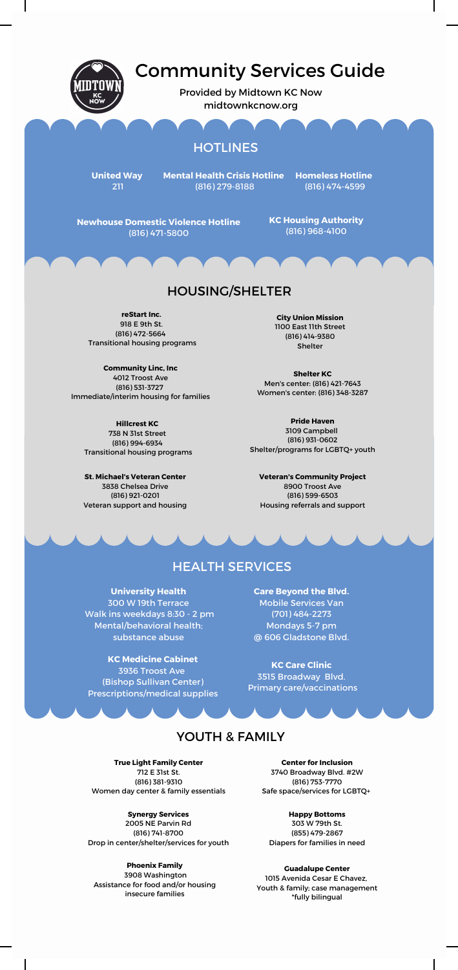

# Community Services Guide

Provided by Midtown KC Now midtownkcnow.org

## **HOTLINES**

**United Way**

**Mental Health Crisis Hotline** (816) 279-8188

**Homeless Hotline** (816) 474-4599

**Newhouse Domestic Violence Hotline KC Housing Authority** (816) 471-5800

(816) 968-4100

### HOUSING/SHELTER

**reStart Inc.** 918 E 9th St. (816) 472-5664 Transitional housing programs

**Community Linc, Inc** 4012 Troost Ave (816) 531-3727 Immediate/interim housing for families

**Hillcrest KC** 738 N 31st Street (816) 994-6934 Transitional housing programs

**St. Michael's Veteran Center** 3838 Chelsea Drive (816) 921-0201 Veteran support and housing **City Union Mission** 1100 East 11th Street (816) 414-9380 **Shelter** 

**Shelter KC** Men's center: (816) 421-7643 Women's center: (816) 348-3287

**Pride Haven** 3109 Campbell (816) 931-0602 Shelter/programs for LGBTQ+ youth

**Veteran's Community Project** 8900 Troost Ave (816) 599-6503 Housing referrals and support

# HEALTH SERVICES

**University Health** 300 W 19th Terrace Walk ins weekdays 8:30 - 2 pm Mental/behavioral health; substance abuse

Primary care/vaccinations (Bishop Sullivan Center) **KC Medicine Cabinet** 3936 Troost Ave Prescriptions/medical supplies

**Care Beyond the Blvd.** Mobile Services Van (701) 484-2273 Mondays 5-7 pm @ 606 Gladstone Blvd.

**KC Care Clinic** 3515 Broadway Blvd.

### YOUTH & FAMILY

**True Light Family Center** 712 E 31st St.

(816) 381-9310 Women day center & family essentials

**Synergy Services** 2005 NE Parvin Rd (816) 741-8700 Drop in center/shelter/services for youth

**Phoenix Family** 3908 Washington Assistance for food and/or housing insecure families

I

**Center for Inclusion** 3740 Broadway Blvd. #2W (816) 753-7770 Safe space/services for LGBTQ+

**Happy Bottoms** 303 W 79th St. (855) 479-2867 Diapers for families in need

**Guadalupe Center** 1015 Avenida Cesar E Chavez, Youth & family; case management \*fully bilingual

 $\mathbf{I}$